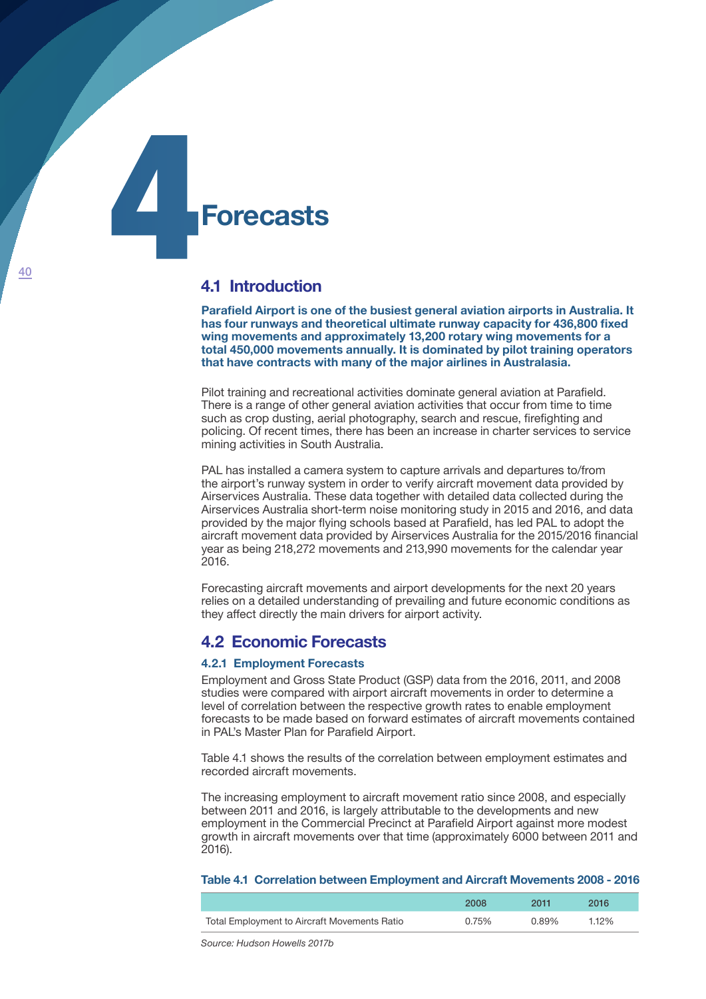# **Forecasts** 4

## **4.1 Introduction**

**Parafield Airport is one of the busiest general aviation airports in Australia. It has four runways and theoretical ultimate runway capacity for 436,800 fixed wing movements and approximately 13,200 rotary wing movements for a total 450,000 movements annually. It is dominated by pilot training operators that have contracts with many of the major airlines in Australasia.**

Pilot training and recreational activities dominate general aviation at Parafield. There is a range of other general aviation activities that occur from time to time such as crop dusting, aerial photography, search and rescue, firefighting and policing. Of recent times, there has been an increase in charter services to service mining activities in South Australia.

PAL has installed a camera system to capture arrivals and departures to/from the airport's runway system in order to verify aircraft movement data provided by Airservices Australia. These data together with detailed data collected during the Airservices Australia short-term noise monitoring study in 2015 and 2016, and data provided by the major flying schools based at Parafield, has led PAL to adopt the aircraft movement data provided by Airservices Australia for the 2015/2016 financial year as being 218,272 movements and 213,990 movements for the calendar year 2016.

Forecasting aircraft movements and airport developments for the next 20 years relies on a detailed understanding of prevailing and future economic conditions as they affect directly the main drivers for airport activity.

# **4.2 Economic Forecasts**

#### **4.2.1 Employment Forecasts**

Employment and Gross State Product (GSP) data from the 2016, 2011, and 2008 studies were compared with airport aircraft movements in order to determine a level of correlation between the respective growth rates to enable employment forecasts to be made based on forward estimates of aircraft movements contained in PAL's Master Plan for Parafield Airport.

Table 4.1 shows the results of the correlation between employment estimates and recorded aircraft movements.

The increasing employment to aircraft movement ratio since 2008, and especially between 2011 and 2016, is largely attributable to the developments and new employment in the Commercial Precinct at Parafield Airport against more modest growth in aircraft movements over that time (approximately 6000 between 2011 and 2016).

#### **Table 4.1 Correlation between Employment and Aircraft Movements 2008 - 2016**

|                                              | 2008  | 2011  | 2016  |
|----------------------------------------------|-------|-------|-------|
| Total Employment to Aircraft Movements Ratio | 0.75% | 0.89% | 1.12% |

*Source: Hudson Howells 2017b*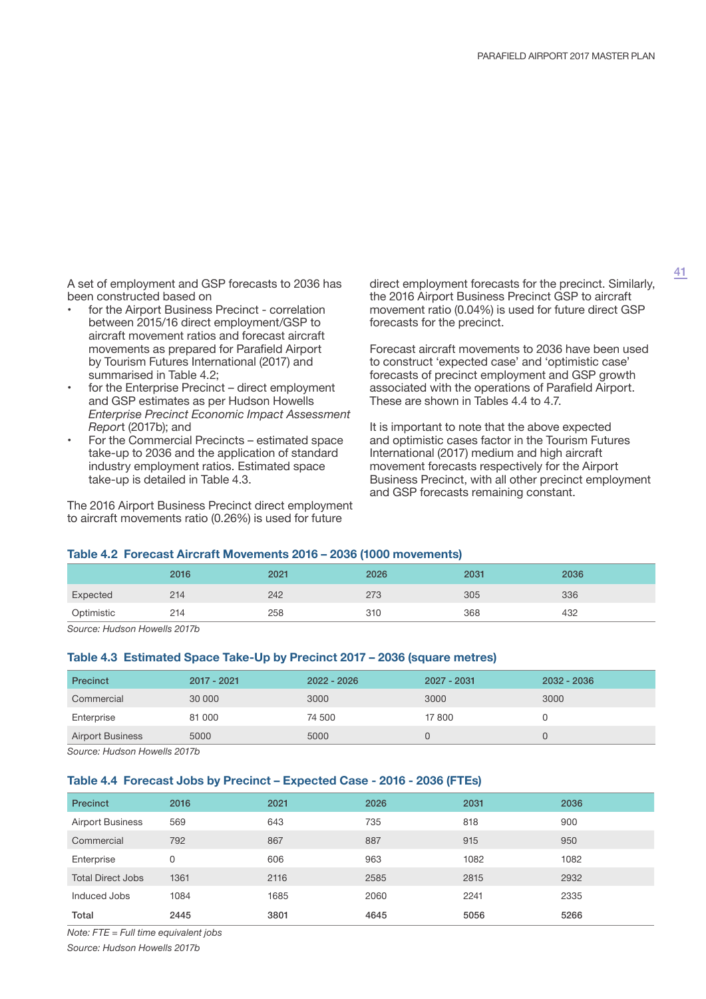A set of employment and GSP forecasts to 2036 has been constructed based on

- for the Airport Business Precinct correlation between 2015/16 direct employment/GSP to aircraft movement ratios and forecast aircraft movements as prepared for Parafield Airport by Tourism Futures International (2017) and summarised in Table 4.2;
- for the Enterprise Precinct direct employment and GSP estimates as per Hudson Howells *Enterprise Precinct Economic Impact Assessment Repor*t (2017b); and
- For the Commercial Precincts estimated space take-up to 2036 and the application of standard industry employment ratios. Estimated space take-up is detailed in Table 4.3.

The 2016 Airport Business Precinct direct employment to aircraft movements ratio (0.26%) is used for future

direct employment forecasts for the precinct. Similarly, the 2016 Airport Business Precinct GSP to aircraft movement ratio (0.04%) is used for future direct GSP forecasts for the precinct.

Forecast aircraft movements to 2036 have been used to construct 'expected case' and 'optimistic case' forecasts of precinct employment and GSP growth associated with the operations of Parafield Airport. These are shown in Tables 4.4 to 4.7.

It is important to note that the above expected and optimistic cases factor in the Tourism Futures International (2017) medium and high aircraft movement forecasts respectively for the Airport Business Precinct, with all other precinct employment and GSP forecasts remaining constant.

#### **Table 4.2 Forecast Aircraft Movements 2016 – 2036 (1000 movements)**

|            | 2016 | 2021 | 2026 | 2031 | 2036 |
|------------|------|------|------|------|------|
| Expected   | 214  | 242  | 273  | 305  | 336  |
| Optimistic | 214  | 258  | 310  | 368  | 432  |

*Source: Hudson Howells 2017b*

#### **Table 4.3 Estimated Space Take-Up by Precinct 2017 – 2036 (square metres)**

| Precinct                | $2017 - 2021$ | $2022 - 2026$ | 2027 - 2031 | $2032 - 2036$ |
|-------------------------|---------------|---------------|-------------|---------------|
| Commercial              | 30 000        | 3000          | 3000        | 3000          |
| Enterprise              | 81 000        | 74 500        | 17800       |               |
| <b>Airport Business</b> | 5000          | 5000          |             |               |
|                         |               |               |             |               |

*Source: Hudson Howells 2017b*

#### **Table 4.4 Forecast Jobs by Precinct – Expected Case - 2016 - 2036 (FTEs)**

| <b>Precinct</b>          | 2016 | 2021 | 2026 | 2031 | 2036 |
|--------------------------|------|------|------|------|------|
| <b>Airport Business</b>  | 569  | 643  | 735  | 818  | 900  |
| Commercial               | 792  | 867  | 887  | 915  | 950  |
| Enterprise               | 0    | 606  | 963  | 1082 | 1082 |
| <b>Total Direct Jobs</b> | 1361 | 2116 | 2585 | 2815 | 2932 |
| Induced Jobs             | 1084 | 1685 | 2060 | 2241 | 2335 |
| Total                    | 2445 | 3801 | 4645 | 5056 | 5266 |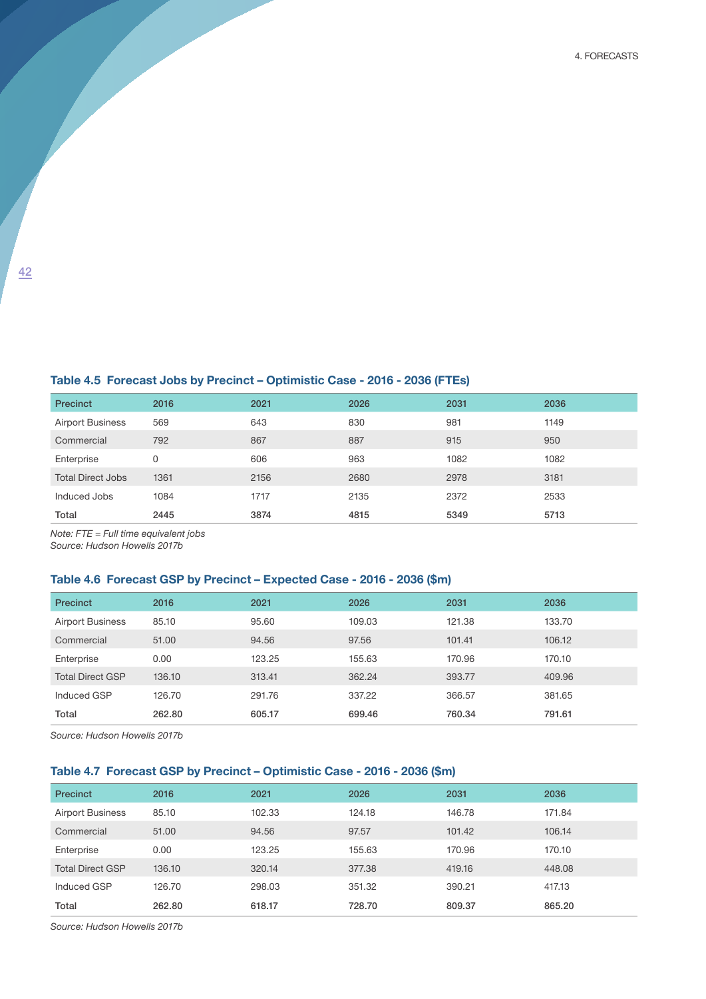4. Forecasts

## **Table 4.5 Forecast Jobs by Precinct – Optimistic Case - 2016 - 2036 (FTEs)**

| <b>Precinct</b>          | 2016 | 2021 | 2026 | 2031 | 2036 |
|--------------------------|------|------|------|------|------|
| <b>Airport Business</b>  | 569  | 643  | 830  | 981  | 1149 |
| Commercial               | 792  | 867  | 887  | 915  | 950  |
| Enterprise               | 0    | 606  | 963  | 1082 | 1082 |
| <b>Total Direct Jobs</b> | 1361 | 2156 | 2680 | 2978 | 3181 |
| Induced Jobs             | 1084 | 1717 | 2135 | 2372 | 2533 |
| Total                    | 2445 | 3874 | 4815 | 5349 | 5713 |

*Note: FTE = Full time equivalent jobs*

*Source: Hudson Howells 2017b*

## **Table 4.6 Forecast GSP by Precinct – Expected Case - 2016 - 2036 (\$m)**

| <b>Precinct</b>         | 2016   | 2021   | 2026   | 2031   | 2036   |
|-------------------------|--------|--------|--------|--------|--------|
| <b>Airport Business</b> | 85.10  | 95.60  | 109.03 | 121.38 | 133.70 |
| Commercial              | 51.00  | 94.56  | 97.56  | 101.41 | 106.12 |
| Enterprise              | 0.00   | 123.25 | 155.63 | 170.96 | 170.10 |
| <b>Total Direct GSP</b> | 136.10 | 313.41 | 362.24 | 393.77 | 409.96 |
| Induced GSP             | 126.70 | 291.76 | 337.22 | 366.57 | 381.65 |
| Total                   | 262.80 | 605.17 | 699.46 | 760.34 | 791.61 |

*Source: Hudson Howells 2017b*

## **Table 4.7 Forecast GSP by Precinct – Optimistic Case - 2016 - 2036 (\$m)**

| <b>Precinct</b>         | 2016   | 2021   | 2026   | 2031   | 2036   |
|-------------------------|--------|--------|--------|--------|--------|
| <b>Airport Business</b> | 85.10  | 102.33 | 124.18 | 146.78 | 171.84 |
| Commercial              | 51.00  | 94.56  | 97.57  | 101.42 | 106.14 |
| Enterprise              | 0.00   | 123.25 | 155.63 | 170.96 | 170.10 |
| <b>Total Direct GSP</b> | 136.10 | 320.14 | 377.38 | 419.16 | 448.08 |
| Induced GSP             | 126.70 | 298.03 | 351.32 | 390.21 | 417.13 |
| Total                   | 262.80 | 618.17 | 728.70 | 809.37 | 865.20 |

*Source: Hudson Howells 2017b*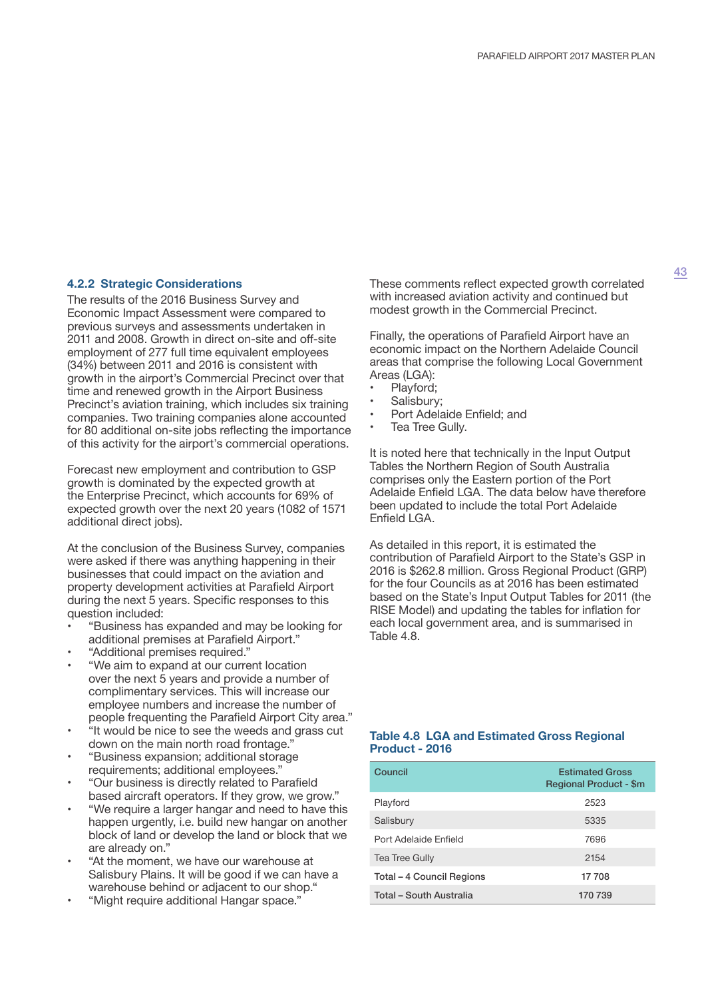#### **4.2.2 Strategic Considerations**

The results of the 2016 Business Survey and Economic Impact Assessment were compared to previous surveys and assessments undertaken in 2011 and 2008. Growth in direct on-site and off-site employment of 277 full time equivalent employees (34%) between 2011 and 2016 is consistent with growth in the airport's Commercial Precinct over that time and renewed growth in the Airport Business Precinct's aviation training, which includes six training companies. Two training companies alone accounted for 80 additional on-site jobs reflecting the importance of this activity for the airport's commercial operations.

Forecast new employment and contribution to GSP growth is dominated by the expected growth at the Enterprise Precinct, which accounts for 69% of expected growth over the next 20 years (1082 of 1571 additional direct jobs).

At the conclusion of the Business Survey, companies were asked if there was anything happening in their businesses that could impact on the aviation and property development activities at Parafield Airport during the next 5 years. Specific responses to this question included:

- "Business has expanded and may be looking for additional premises at Parafield Airport."
- "Additional premises required."
- "We aim to expand at our current location over the next 5 years and provide a number of complimentary services. This will increase our employee numbers and increase the number of people frequenting the Parafield Airport City area."
- "It would be nice to see the weeds and grass cut down on the main north road frontage."
- "Business expansion; additional storage requirements; additional employees."
- "Our business is directly related to Parafield based aircraft operators. If they grow, we grow."
- "We require a larger hangar and need to have this happen urgently, i.e. build new hangar on another block of land or develop the land or block that we are already on."
- "At the moment, we have our warehouse at Salisbury Plains. It will be good if we can have a warehouse behind or adjacent to our shop."
- "Might require additional Hangar space."

These comments reflect expected growth correlated with increased aviation activity and continued but modest growth in the Commercial Precinct.

Finally, the operations of Parafield Airport have an economic impact on the Northern Adelaide Council areas that comprise the following Local Government Areas (LGA):

- Playford;
- Salisbury;
- Port Adelaide Enfield; and
- Tea Tree Gully.

It is noted here that technically in the Input Output Tables the Northern Region of South Australia comprises only the Eastern portion of the Port Adelaide Enfield LGA. The data below have therefore been updated to include the total Port Adelaide Enfield LGA.

As detailed in this report, it is estimated the contribution of Parafield Airport to the State's GSP in 2016 is \$262.8 million. Gross Regional Product (GRP) for the four Councils as at 2016 has been estimated based on the State's Input Output Tables for 2011 (the RISE Model) and updating the tables for inflation for each local government area, and is summarised in Table 4.8.

#### **Table 4.8 LGA and Estimated Gross Regional Product - 2016**

| Council                   | <b>Estimated Gross</b><br><b>Regional Product - \$m</b> |
|---------------------------|---------------------------------------------------------|
| Playford                  | 2523                                                    |
| Salisbury                 | 5335                                                    |
| Port Adelaide Enfield     | 7696                                                    |
| <b>Tea Tree Gully</b>     | 2154                                                    |
| Total – 4 Council Regions | 17 708                                                  |
| Total - South Australia   | 170 739                                                 |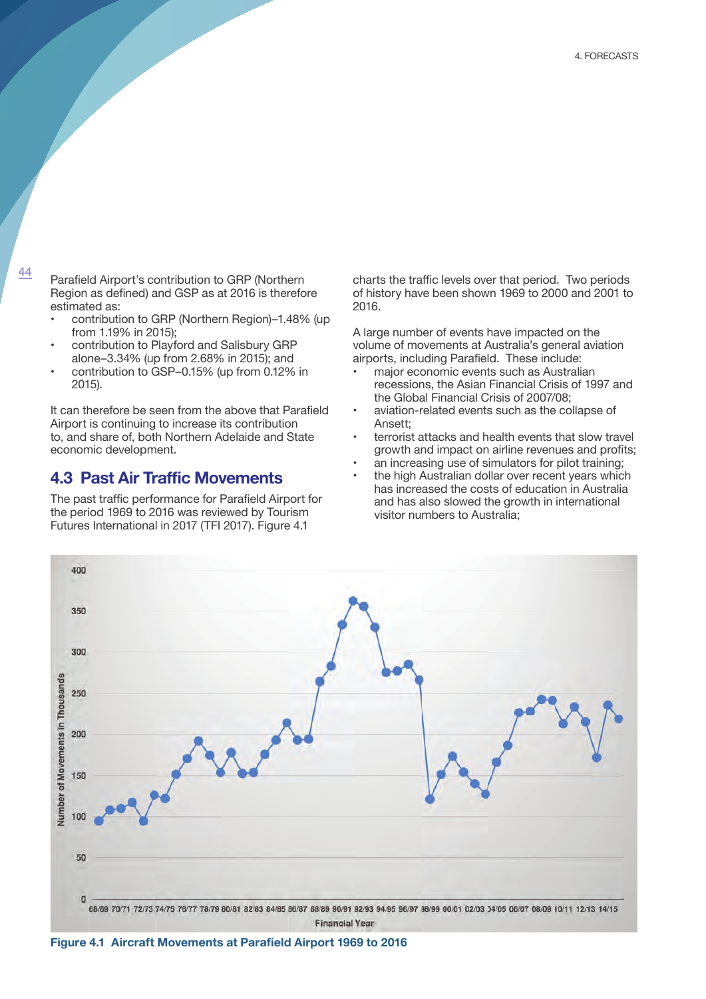<sup>44</sup> Parafield Airport's contribution to GRP (Northern Region as defined) and GSP as at 2016 is therefore estimated as:

- contribution to GRP (Northern Region)–1.48% (up from 1.19% in 2015);
- contribution to Playford and Salisbury GRP alone–3.34% (up from 2.68% in 2015); and
- contribution to GSP–0.15% (up from 0.12% in 2015).

It can therefore be seen from the above that Parafield Airport is continuing to increase its contribution to, and share of, both Northern Adelaide and State economic development.

# **4.3 Past Air Traffic Movements**

The past traffic performance for Parafield Airport for the period 1969 to 2016 was reviewed by Tourism Futures International in 2017 (TFI 2017). Figure 4.1

charts the traffic levels over that period. Two periods of history have been shown 1969 to 2000 and 2001 to 2016.

A large number of events have impacted on the volume of movements at Australia's general aviation airports, including Parafield. These include:

- major economic events such as Australian recessions, the Asian Financial Crisis of 1997 and the Global Financial Crisis of 2007/08;
- aviation-related events such as the collapse of Ansett;
- terrorist attacks and health events that slow travel growth and impact on airline revenues and profits;
- an increasing use of simulators for pilot training;
- the high Australian dollar over recent years which has increased the costs of education in Australia and has also slowed the growth in international visitor numbers to Australia;



**Figure 4.1 Aircraft Movements at Parafield Airport 1969 to 2016**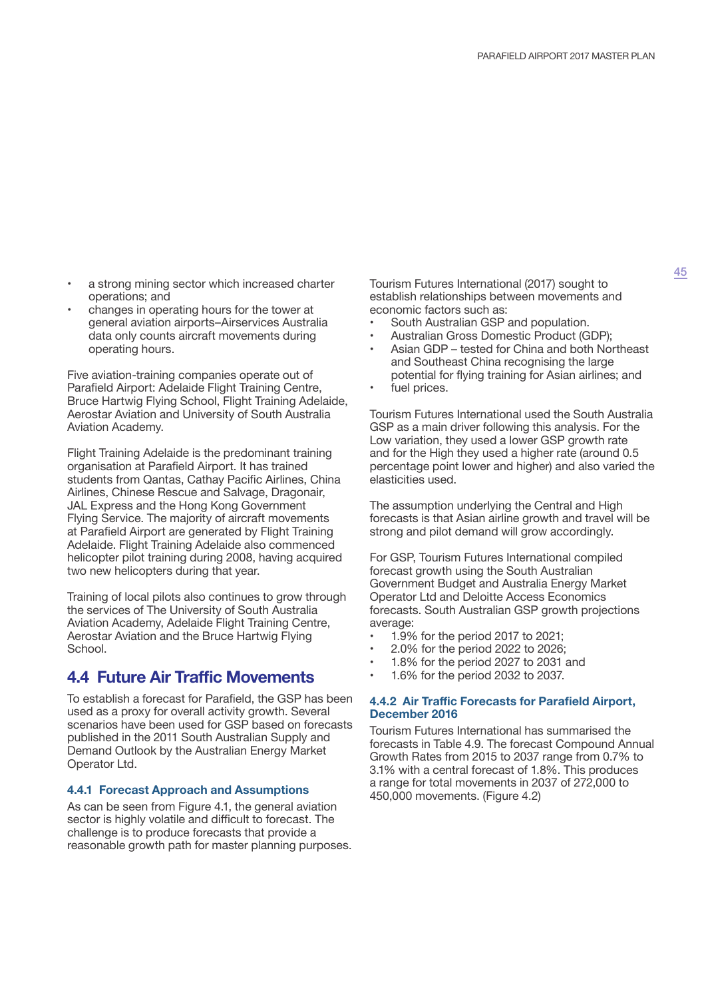- a strong mining sector which increased charter operations; and
- changes in operating hours for the tower at general aviation airports–Airservices Australia data only counts aircraft movements during operating hours.

Five aviation-training companies operate out of Parafield Airport: Adelaide Flight Training Centre, Bruce Hartwig Flying School, Flight Training Adelaide, Aerostar Aviation and University of South Australia Aviation Academy.

Flight Training Adelaide is the predominant training organisation at Parafield Airport. It has trained students from Qantas, Cathay Pacific Airlines, China Airlines, Chinese Rescue and Salvage, Dragonair, JAL Express and the Hong Kong Government Flying Service. The majority of aircraft movements at Parafield Airport are generated by Flight Training Adelaide. Flight Training Adelaide also commenced helicopter pilot training during 2008, having acquired two new helicopters during that year.

Training of local pilots also continues to grow through the services of The University of South Australia Aviation Academy, Adelaide Flight Training Centre, Aerostar Aviation and the Bruce Hartwig Flying School.

# **4.4 Future Air Traffic Movements**

To establish a forecast for Parafield, the GSP has been used as a proxy for overall activity growth. Several scenarios have been used for GSP based on forecasts published in the 2011 South Australian Supply and Demand Outlook by the Australian Energy Market Operator Ltd.

## **4.4.1 Forecast Approach and Assumptions**

As can be seen from Figure 4.1, the general aviation sector is highly volatile and difficult to forecast. The challenge is to produce forecasts that provide a reasonable growth path for master planning purposes. Tourism Futures International (2017) sought to establish relationships between movements and economic factors such as:

- South Australian GSP and population.
- Australian Gross Domestic Product (GDP);
- Asian GDP tested for China and both Northeast and Southeast China recognising the large potential for flying training for Asian airlines; and
- fuel prices.

Tourism Futures International used the South Australia GSP as a main driver following this analysis. For the Low variation, they used a lower GSP growth rate and for the High they used a higher rate (around 0.5 percentage point lower and higher) and also varied the elasticities used.

The assumption underlying the Central and High forecasts is that Asian airline growth and travel will be strong and pilot demand will grow accordingly.

For GSP, Tourism Futures International compiled forecast growth using the South Australian Government Budget and Australia Energy Market Operator Ltd and Deloitte Access Economics forecasts. South Australian GSP growth projections average:

- 1.9% for the period 2017 to 2021;
- 2.0% for the period 2022 to 2026;
- 1.8% for the period 2027 to 2031 and
- 1.6% for the period 2032 to 2037.

#### **4.4.2 Air Traffic Forecasts for Parafield Airport, December 2016**

Tourism Futures International has summarised the forecasts in Table 4.9. The forecast Compound Annual Growth Rates from 2015 to 2037 range from 0.7% to 3.1% with a central forecast of 1.8%. This produces a range for total movements in 2037 of 272,000 to 450,000 movements. (Figure 4.2)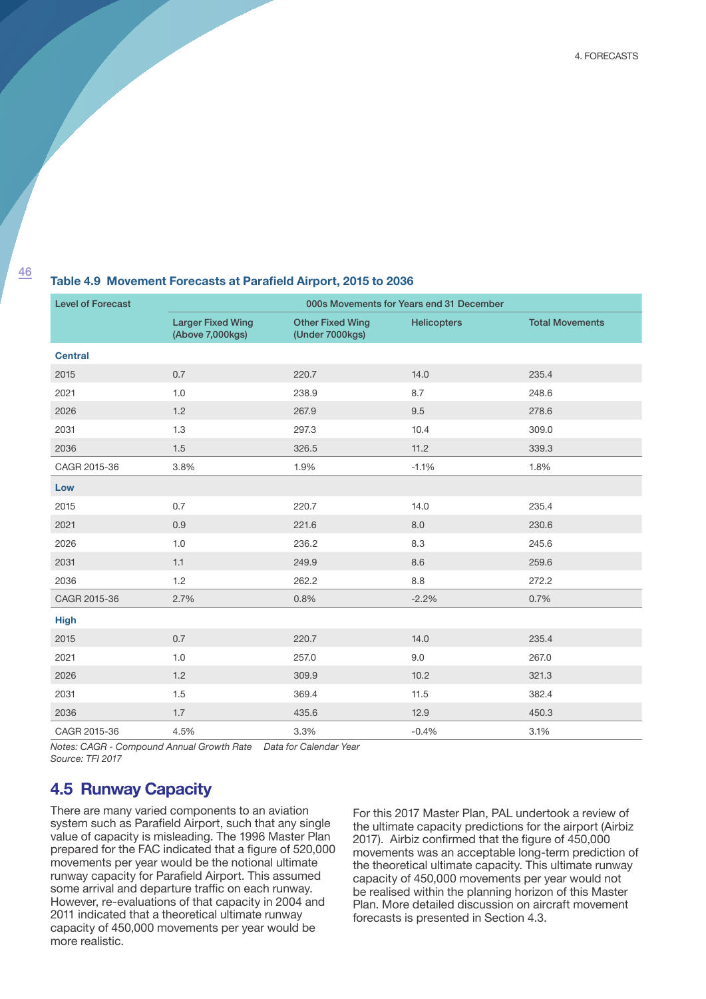4. Forecasts

## **Table 4.9 Movement Forecasts at Parafield Airport, 2015 to 2036**

| <b>Level of Forecast</b> | 000s Movements for Years end 31 December     |                                            |                    |                        |  |
|--------------------------|----------------------------------------------|--------------------------------------------|--------------------|------------------------|--|
|                          | <b>Larger Fixed Wing</b><br>(Above 7,000kgs) | <b>Other Fixed Wing</b><br>(Under 7000kgs) | <b>Helicopters</b> | <b>Total Movements</b> |  |
| <b>Central</b>           |                                              |                                            |                    |                        |  |
| 2015                     | 0.7                                          | 220.7                                      | 14.0               | 235.4                  |  |
| 2021                     | 1.0                                          | 238.9                                      | 8.7                | 248.6                  |  |
| 2026                     | 1.2                                          | 267.9                                      | 9.5                | 278.6                  |  |
| 2031                     | 1.3                                          | 297.3                                      | 10.4               | 309.0                  |  |
| 2036                     | 1.5                                          | 326.5                                      | 11.2               | 339.3                  |  |
| CAGR 2015-36             | 3.8%                                         | 1.9%                                       | $-1.1%$            | 1.8%                   |  |
| Low                      |                                              |                                            |                    |                        |  |
| 2015                     | 0.7                                          | 220.7                                      | 14.0               | 235.4                  |  |
| 2021                     | 0.9                                          | 221.6                                      | 8.0                | 230.6                  |  |
| 2026                     | 1.0                                          | 236.2                                      | 8.3                | 245.6                  |  |
| 2031                     | 1.1                                          | 249.9                                      | 8.6                | 259.6                  |  |
| 2036                     | 1.2                                          | 262.2                                      | 8.8                | 272.2                  |  |
| CAGR 2015-36             | 2.7%                                         | 0.8%                                       | $-2.2%$            | 0.7%                   |  |
| <b>High</b>              |                                              |                                            |                    |                        |  |
| 2015                     | 0.7                                          | 220.7                                      | 14.0               | 235.4                  |  |
| 2021                     | 1.0                                          | 257.0                                      | 9.0                | 267.0                  |  |
| 2026                     | 1.2                                          | 309.9                                      | 10.2               | 321.3                  |  |
| 2031                     | 1.5                                          | 369.4                                      | 11.5               | 382.4                  |  |
| 2036                     | 1.7                                          | 435.6                                      | 12.9               | 450.3                  |  |
| CAGR 2015-36             | 4.5%                                         | 3.3%                                       | $-0.4%$            | 3.1%                   |  |

*Notes: CAGR - Compound Annual Growth Rate Data for Calendar Year Source: TFI 2017*

# **4.5 Runway Capacity**

There are many varied components to an aviation system such as Parafield Airport, such that any single value of capacity is misleading. The 1996 Master Plan prepared for the FAC indicated that a figure of 520,000 movements per year would be the notional ultimate runway capacity for Parafield Airport. This assumed some arrival and departure traffic on each runway. However, re-evaluations of that capacity in 2004 and 2011 indicated that a theoretical ultimate runway capacity of 450,000 movements per year would be more realistic.

For this 2017 Master Plan, PAL undertook a review of the ultimate capacity predictions for the airport (Airbiz 2017). Airbiz confirmed that the figure of 450,000 movements was an acceptable long-term prediction of the theoretical ultimate capacity. This ultimate runway capacity of 450,000 movements per year would not be realised within the planning horizon of this Master Plan. More detailed discussion on aircraft movement forecasts is presented in Section 4.3.